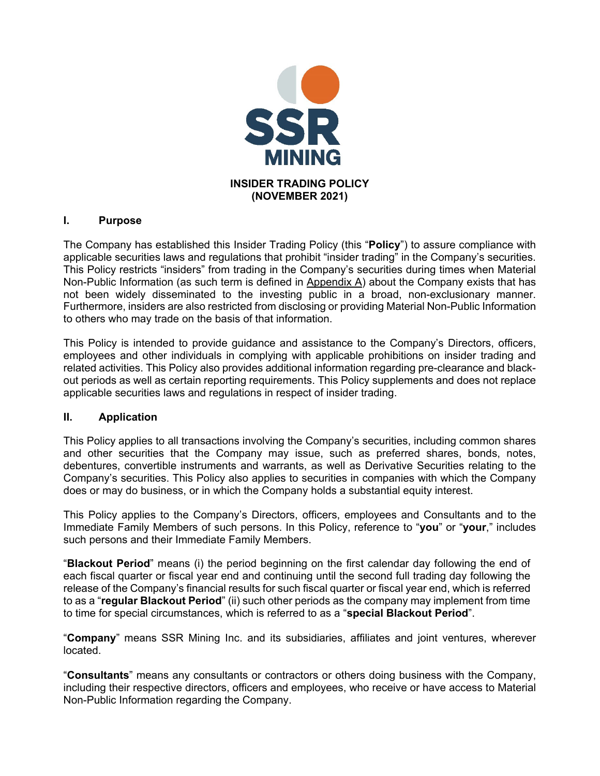

## **I. Purpose**

The Company has established this Insider Trading Policy (this "**Policy**") to assure compliance with applicable securities laws and regulations that prohibit "insider trading" in the Company's securities. This Policy restricts "insiders" from trading in the Company's securities during times when Material Non-Public Information (as such term is defined in Appendix  $\overline{A}$ ) about the Company exists that has not been widely disseminated to the investing public in a broad, non-exclusionary manner. Furthermore, insiders are also restricted from disclosing or providing Material Non-Public Information to others who may trade on the basis of that information.

This Policy is intended to provide guidance and assistance to the Company's Directors, officers, employees and other individuals in complying with applicable prohibitions on insider trading and related activities. This Policy also provides additional information regarding pre-clearance and blackout periods as well as certain reporting requirements. This Policy supplements and does not replace applicable securities laws and regulations in respect of insider trading.

## **II. Application**

This Policy applies to all transactions involving the Company's securities, including common shares and other securities that the Company may issue, such as preferred shares, bonds, notes, debentures, convertible instruments and warrants, as well as Derivative Securities relating to the Company's securities. This Policy also applies to securities in companies with which the Company does or may do business, or in which the Company holds a substantial equity interest.

This Policy applies to the Company's Directors, officers, employees and Consultants and to the Immediate Family Members of such persons. In this Policy, reference to "**you**" or "**your**," includes such persons and their Immediate Family Members.

"**Blackout Period**" means (i) the period beginning on the first calendar day following the end of each fiscal quarter or fiscal year end and continuing until the second full trading day following the release of the Company's financial results for such fiscal quarter or fiscal year end, which is referred to as a "**regular Blackout Period**" (ii) such other periods as the company may implement from time to time for special circumstances, which is referred to as a "**special Blackout Period**".

"**Company**" means SSR Mining Inc. and its subsidiaries, affiliates and joint ventures, wherever located.

"**Consultants**" means any consultants or contractors or others doing business with the Company, including their respective directors, officers and employees, who receive or have access to Material Non-Public Information regarding the Company.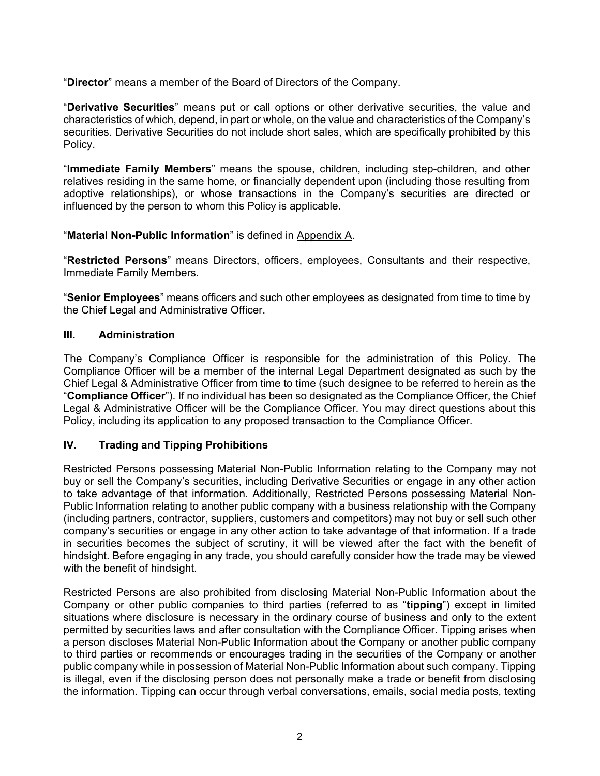"**Director**" means a member of the Board of Directors of the Company.

"**Derivative Securities**" means put or call options or other derivative securities, the value and characteristics of which, depend, in part or whole, on the value and characteristics of the Company's securities. Derivative Securities do not include short sales, which are specifically prohibited by this Policy.

"**Immediate Family Members**" means the spouse, children, including step-children, and other relatives residing in the same home, or financially dependent upon (including those resulting from adoptive relationships), or whose transactions in the Company's securities are directed or influenced by the person to whom this Policy is applicable.

#### "**Material Non-Public Information**" is defined in Appendix A.

"**Restricted Persons**" means Directors, officers, employees, Consultants and their respective, Immediate Family Members.

"**Senior Employees**" means officers and such other employees as designated from time to time by the Chief Legal and Administrative Officer.

#### **III. Administration**

The Company's Compliance Officer is responsible for the administration of this Policy. The Compliance Officer will be a member of the internal Legal Department designated as such by the Chief Legal & Administrative Officer from time to time (such designee to be referred to herein as the "**Compliance Officer**"). If no individual has been so designated as the Compliance Officer, the Chief Legal & Administrative Officer will be the Compliance Officer. You may direct questions about this Policy, including its application to any proposed transaction to the Compliance Officer.

## **IV. Trading and Tipping Prohibitions**

Restricted Persons possessing Material Non-Public Information relating to the Company may not buy or sell the Company's securities, including Derivative Securities or engage in any other action to take advantage of that information. Additionally, Restricted Persons possessing Material Non-Public Information relating to another public company with a business relationship with the Company (including partners, contractor, suppliers, customers and competitors) may not buy or sell such other company's securities or engage in any other action to take advantage of that information. If a trade in securities becomes the subject of scrutiny, it will be viewed after the fact with the benefit of hindsight. Before engaging in any trade, you should carefully consider how the trade may be viewed with the benefit of hindsight.

Restricted Persons are also prohibited from disclosing Material Non-Public Information about the Company or other public companies to third parties (referred to as "**tipping**") except in limited situations where disclosure is necessary in the ordinary course of business and only to the extent permitted by securities laws and after consultation with the Compliance Officer. Tipping arises when a person discloses Material Non-Public Information about the Company or another public company to third parties or recommends or encourages trading in the securities of the Company or another public company while in possession of Material Non-Public Information about such company. Tipping is illegal, even if the disclosing person does not personally make a trade or benefit from disclosing the information. Tipping can occur through verbal conversations, emails, social media posts, texting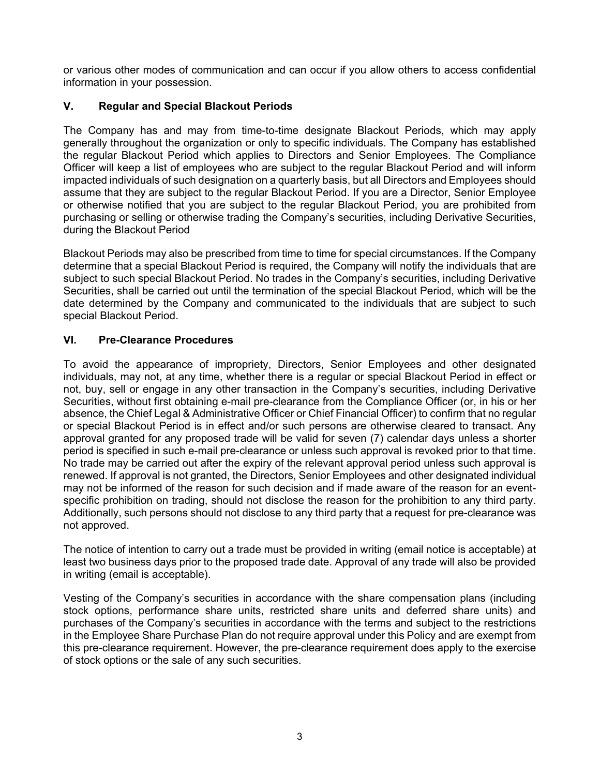or various other modes of communication and can occur if you allow others to access confidential information in your possession.

# **V. Regular and Special Blackout Periods**

The Company has and may from time-to-time designate Blackout Periods, which may apply generally throughout the organization or only to specific individuals. The Company has established the regular Blackout Period which applies to Directors and Senior Employees. The Compliance Officer will keep a list of employees who are subject to the regular Blackout Period and will inform impacted individuals of such designation on a quarterly basis, but all Directors and Employees should assume that they are subject to the regular Blackout Period. If you are a Director, Senior Employee or otherwise notified that you are subject to the regular Blackout Period, you are prohibited from purchasing or selling or otherwise trading the Company's securities, including Derivative Securities, during the Blackout Period

Blackout Periods may also be prescribed from time to time for special circumstances. If the Company determine that a special Blackout Period is required, the Company will notify the individuals that are subject to such special Blackout Period. No trades in the Company's securities, including Derivative Securities, shall be carried out until the termination of the special Blackout Period, which will be the date determined by the Company and communicated to the individuals that are subject to such special Blackout Period.

# **VI. Pre-Clearance Procedures**

To avoid the appearance of impropriety, Directors, Senior Employees and other designated individuals, may not, at any time, whether there is a regular or special Blackout Period in effect or not, buy, sell or engage in any other transaction in the Company's securities, including Derivative Securities, without first obtaining e-mail pre-clearance from the Compliance Officer (or, in his or her absence, the Chief Legal & Administrative Officer or Chief Financial Officer) to confirm that no regular or special Blackout Period is in effect and/or such persons are otherwise cleared to transact. Any approval granted for any proposed trade will be valid for seven (7) calendar days unless a shorter period is specified in such e-mail pre-clearance or unless such approval is revoked prior to that time. No trade may be carried out after the expiry of the relevant approval period unless such approval is renewed. If approval is not granted, the Directors, Senior Employees and other designated individual may not be informed of the reason for such decision and if made aware of the reason for an eventspecific prohibition on trading, should not disclose the reason for the prohibition to any third party. Additionally, such persons should not disclose to any third party that a request for pre-clearance was not approved.

The notice of intention to carry out a trade must be provided in writing (email notice is acceptable) at least two business days prior to the proposed trade date. Approval of any trade will also be provided in writing (email is acceptable).

Vesting of the Company's securities in accordance with the share compensation plans (including stock options, performance share units, restricted share units and deferred share units) and purchases of the Company's securities in accordance with the terms and subject to the restrictions in the Employee Share Purchase Plan do not require approval under this Policy and are exempt from this pre-clearance requirement. However, the pre-clearance requirement does apply to the exercise of stock options or the sale of any such securities.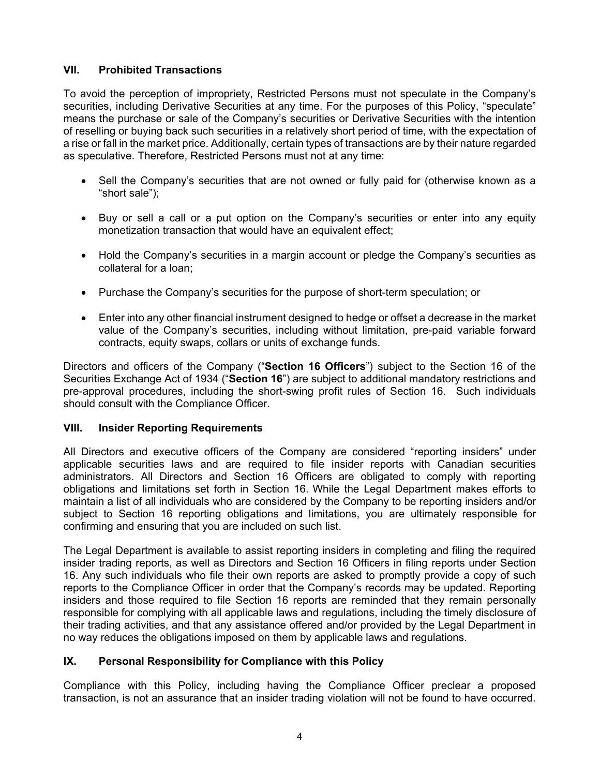## **VII. Prohibited Transactions**

To avoid the perception of impropriety, Restricted Persons must not speculate in the Company's securities, including Derivative Securities at any time. For the purposes of this Policy, "speculate" means the purchase or sale of the Company's securities or Derivative Securities with the intention of reselling or buying back such securities in a relatively short period of time, with the expectation of a rise or fall in the market price. Additionally, certain types of transactions are by their nature regarded as speculative. Therefore, Restricted Persons must not at any time:

- Sell the Company's securities that are not owned or fully paid for (otherwise known as a "short sale");
- Buy or sell a call or a put option on the Company's securities or enter into any equity monetization transaction that would have an equivalent effect;
- Hold the Company's securities in a margin account or pledge the Company's securities as collateral for a loan;
- Purchase the Company's securities for the purpose of short-term speculation; or
- Enter into any other financial instrument designed to hedge or offset a decrease in the market value of the Company's securities, including without limitation, pre-paid variable forward contracts, equity swaps, collars or units of exchange funds.

Directors and officers of the Company ("**Section 16 Officers**") subject to the Section 16 of the Securities Exchange Act of 1934 ("**Section 16**") are subject to additional mandatory restrictions and pre-approval procedures, including the short-swing profit rules of Section 16. Such individuals should consult with the Compliance Officer.

## **VIII. Insider Reporting Requirements**

All Directors and executive officers of the Company are considered "reporting insiders" under applicable securities laws and are required to file insider reports with Canadian securities administrators. All Directors and Section 16 Officers are obligated to comply with reporting obligations and limitations set forth in Section 16. While the Legal Department makes efforts to maintain a list of all individuals who are considered by the Company to be reporting insiders and/or subject to Section 16 reporting obligations and limitations, you are ultimately responsible for confirming and ensuring that you are included on such list.

The Legal Department is available to assist reporting insiders in completing and filing the required insider trading reports, as well as Directors and Section 16 Officers in filing reports under Section 16. Any such individuals who file their own reports are asked to promptly provide a copy of such reports to the Compliance Officer in order that the Company's records may be updated. Reporting insiders and those required to file Section 16 reports are reminded that they remain personally responsible for complying with all applicable laws and regulations, including the timely disclosure of their trading activities, and that any assistance offered and/or provided by the Legal Department in no way reduces the obligations imposed on them by applicable laws and regulations.

# **IX. Personal Responsibility for Compliance with this Policy**

Compliance with this Policy, including having the Compliance Officer preclear a proposed transaction, is not an assurance that an insider trading violation will not be found to have occurred.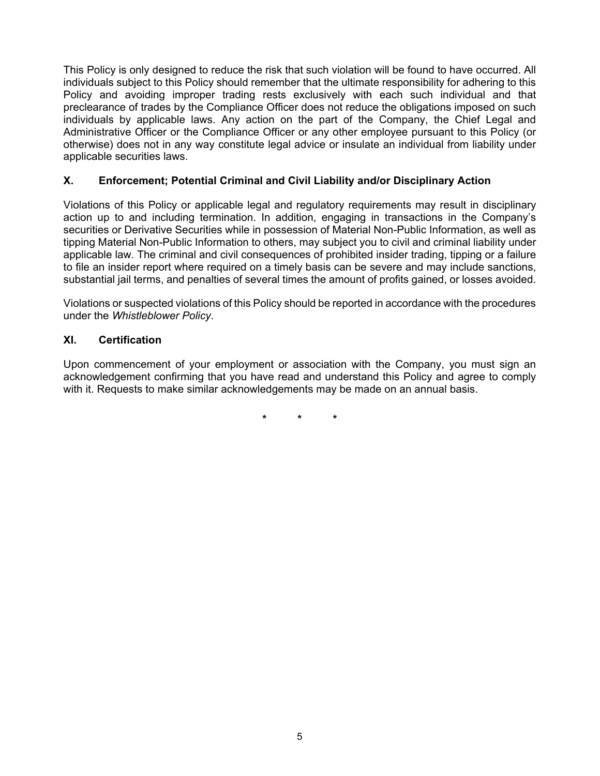This Policy is only designed to reduce the risk that such violation will be found to have occurred. All individuals subject to this Policy should remember that the ultimate responsibility for adhering to this Policy and avoiding improper trading rests exclusively with each such individual and that preclearance of trades by the Compliance Officer does not reduce the obligations imposed on such individuals by applicable laws. Any action on the part of the Company, the Chief Legal and Administrative Officer or the Compliance Officer or any other employee pursuant to this Policy (or otherwise) does not in any way constitute legal advice or insulate an individual from liability under applicable securities laws.

## **X. Enforcement; Potential Criminal and Civil Liability and/or Disciplinary Action**

Violations of this Policy or applicable legal and regulatory requirements may result in disciplinary action up to and including termination. In addition, engaging in transactions in the Company's securities or Derivative Securities while in possession of Material Non-Public Information, as well as tipping Material Non-Public Information to others, may subject you to civil and criminal liability under applicable law. The criminal and civil consequences of prohibited insider trading, tipping or a failure to file an insider report where required on a timely basis can be severe and may include sanctions, substantial jail terms, and penalties of several times the amount of profits gained, or losses avoided.

Violations or suspected violations of this Policy should be reported in accordance with the procedures under the *Whistleblower Policy*.

## **XI. Certification**

Upon commencement of your employment or association with the Company, you must sign an acknowledgement confirming that you have read and understand this Policy and agree to comply with it. Requests to make similar acknowledgements may be made on an annual basis.

**\* \* \***